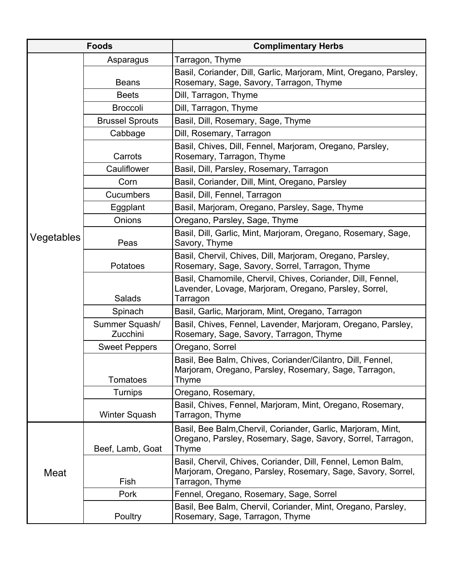| <b>Foods</b> |                            | <b>Complimentary Herbs</b>                                                                                                                     |
|--------------|----------------------------|------------------------------------------------------------------------------------------------------------------------------------------------|
| Vegetables   | Asparagus                  | Tarragon, Thyme                                                                                                                                |
|              | <b>Beans</b>               | Basil, Coriander, Dill, Garlic, Marjoram, Mint, Oregano, Parsley,<br>Rosemary, Sage, Savory, Tarragon, Thyme                                   |
|              | <b>Beets</b>               | Dill, Tarragon, Thyme                                                                                                                          |
|              | <b>Broccoli</b>            | Dill, Tarragon, Thyme                                                                                                                          |
|              | <b>Brussel Sprouts</b>     | Basil, Dill, Rosemary, Sage, Thyme                                                                                                             |
|              | Cabbage                    | Dill, Rosemary, Tarragon                                                                                                                       |
|              | Carrots                    | Basil, Chives, Dill, Fennel, Marjoram, Oregano, Parsley,<br>Rosemary, Tarragon, Thyme                                                          |
|              | Cauliflower                | Basil, Dill, Parsley, Rosemary, Tarragon                                                                                                       |
|              | Corn                       | Basil, Coriander, Dill, Mint, Oregano, Parsley                                                                                                 |
|              | Cucumbers                  | Basil, Dill, Fennel, Tarragon                                                                                                                  |
|              | Eggplant                   | Basil, Marjoram, Oregano, Parsley, Sage, Thyme                                                                                                 |
|              | Onions                     | Oregano, Parsley, Sage, Thyme                                                                                                                  |
|              | Peas                       | Basil, Dill, Garlic, Mint, Marjoram, Oregano, Rosemary, Sage,<br>Savory, Thyme                                                                 |
|              | Potatoes                   | Basil, Chervil, Chives, Dill, Marjoram, Oregano, Parsley,<br>Rosemary, Sage, Savory, Sorrel, Tarragon, Thyme                                   |
|              | Salads                     | Basil, Chamomile, Chervil, Chives, Coriander, Dill, Fennel,<br>Lavender, Lovage, Marjoram, Oregano, Parsley, Sorrel,<br>Tarragon               |
|              | Spinach                    | Basil, Garlic, Marjoram, Mint, Oregano, Tarragon                                                                                               |
|              | Summer Squash/<br>Zucchini | Basil, Chives, Fennel, Lavender, Marjoram, Oregano, Parsley,<br>Rosemary, Sage, Savory, Tarragon, Thyme                                        |
|              | <b>Sweet Peppers</b>       | Oregano, Sorrel                                                                                                                                |
|              | <b>Tomatoes</b>            | Basil, Bee Balm, Chives, Coriander/Cilantro, Dill, Fennel,<br>Marjoram, Oregano, Parsley, Rosemary, Sage, Tarragon,<br>Thyme                   |
|              | Turnips                    | Oregano, Rosemary,                                                                                                                             |
|              | Winter Squash              | Basil, Chives, Fennel, Marjoram, Mint, Oregano, Rosemary,<br>Tarragon, Thyme                                                                   |
| Meat         | Beef, Lamb, Goat           | Basil, Bee Balm, Chervil, Coriander, Garlic, Marjoram, Mint,<br>Oregano, Parsley, Rosemary, Sage, Savory, Sorrel, Tarragon,<br>Thyme           |
|              | Fish                       | Basil, Chervil, Chives, Coriander, Dill, Fennel, Lemon Balm,<br>Marjoram, Oregano, Parsley, Rosemary, Sage, Savory, Sorrel,<br>Tarragon, Thyme |
|              | Pork                       | Fennel, Oregano, Rosemary, Sage, Sorrel                                                                                                        |
|              | Poultry                    | Basil, Bee Balm, Chervil, Coriander, Mint, Oregano, Parsley,<br>Rosemary, Sage, Tarragon, Thyme                                                |